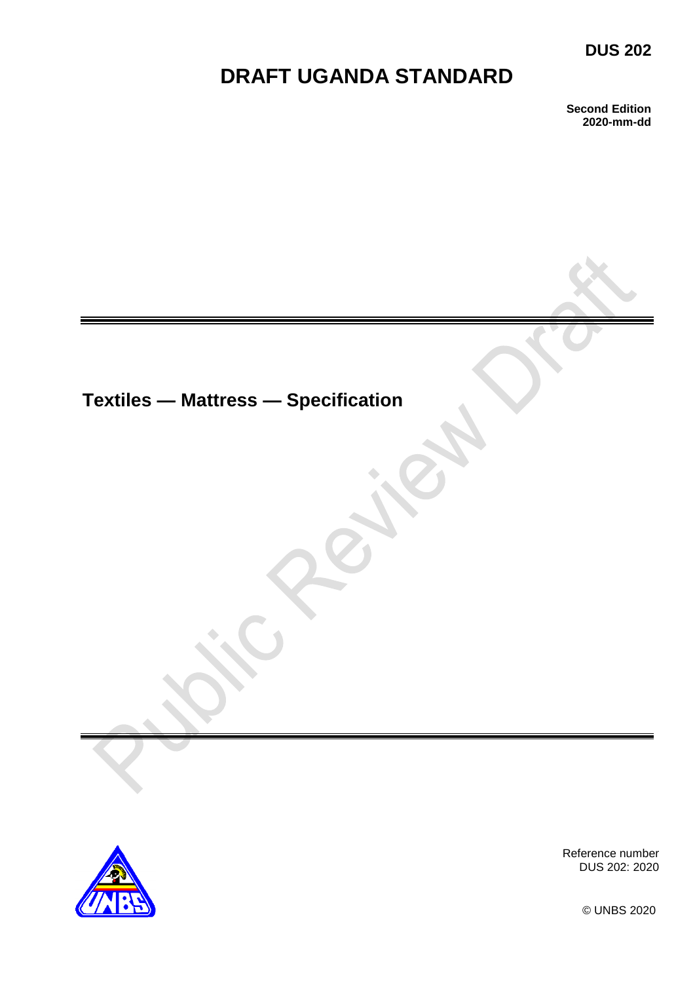## **DUS 202**

# **DRAFT UGANDA STANDARD**

**Second Edition 2020-mm-dd**

**Textiles — Mattress — Specification** 



Reference number DUS 202: 2020

© UNBS 2020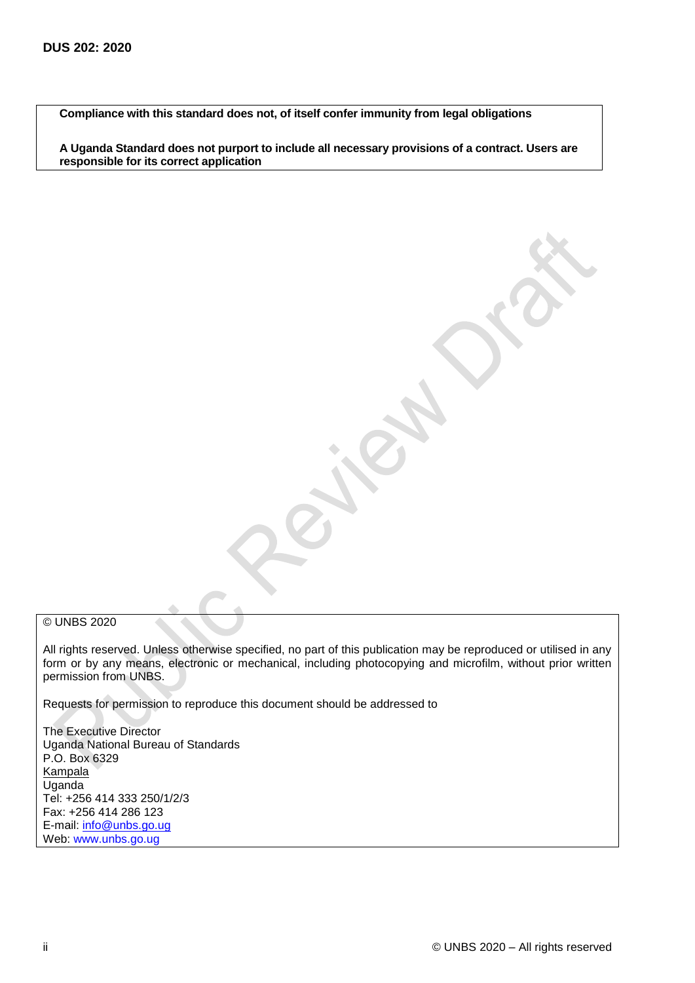**Compliance with this standard does not, of itself confer immunity from legal obligations**

**A Uganda Standard does not purport to include all necessary provisions of a contract. Users are responsible for its correct application**

#### © UNBS 2020

All rights reserved. Unless otherwise specified, no part of this publication may be reproduced or utilised in any form or by any means, electronic or mechanical, including photocopying and microfilm, without prior written permission from UNBS.

Requests for permission to reproduce this document should be addressed to

The Executive Director Uganda National Bureau of Standards P.O. Box 6329 **Kampala** Uganda Tel: +256 414 333 250/1/2/3 Fax: +256 414 286 123 E-mail: [info@unbs.go.ug](mailto:info@unbs.go.ug) Web: www.unbs.go.ug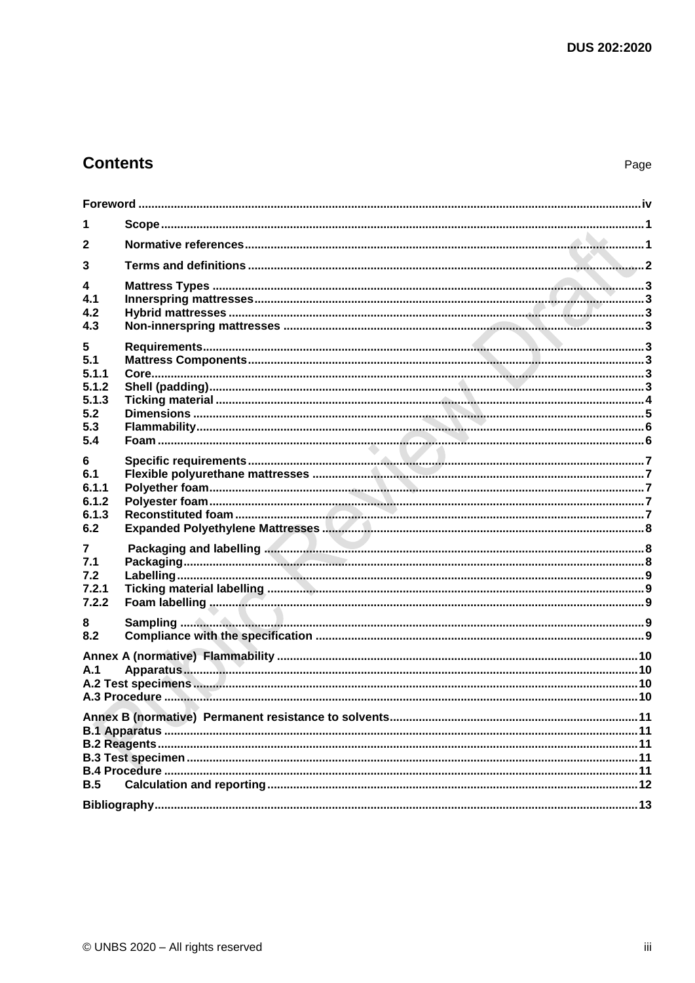## **Contents**

| 1              |  |
|----------------|--|
| $\mathbf{2}$   |  |
| 3              |  |
| 4              |  |
| 4.1            |  |
| 4.2            |  |
| 4.3            |  |
| 5              |  |
| 5.1            |  |
| 5.1.1          |  |
| 5.1.2          |  |
| 5.1.3          |  |
| 5.2            |  |
| 5.3            |  |
| 5.4            |  |
|                |  |
| 6<br>6.1       |  |
|                |  |
| 6.1.1<br>6.1.2 |  |
| 6.1.3          |  |
|                |  |
| 6.2            |  |
| 7              |  |
| 7.1            |  |
| 7.2            |  |
| 7.2.1          |  |
| 7.2.2          |  |
|                |  |
| 8<br>8.2       |  |
|                |  |
|                |  |
| A.1            |  |
|                |  |
|                |  |
|                |  |
|                |  |
|                |  |
|                |  |
|                |  |
|                |  |
| B.5            |  |
|                |  |
|                |  |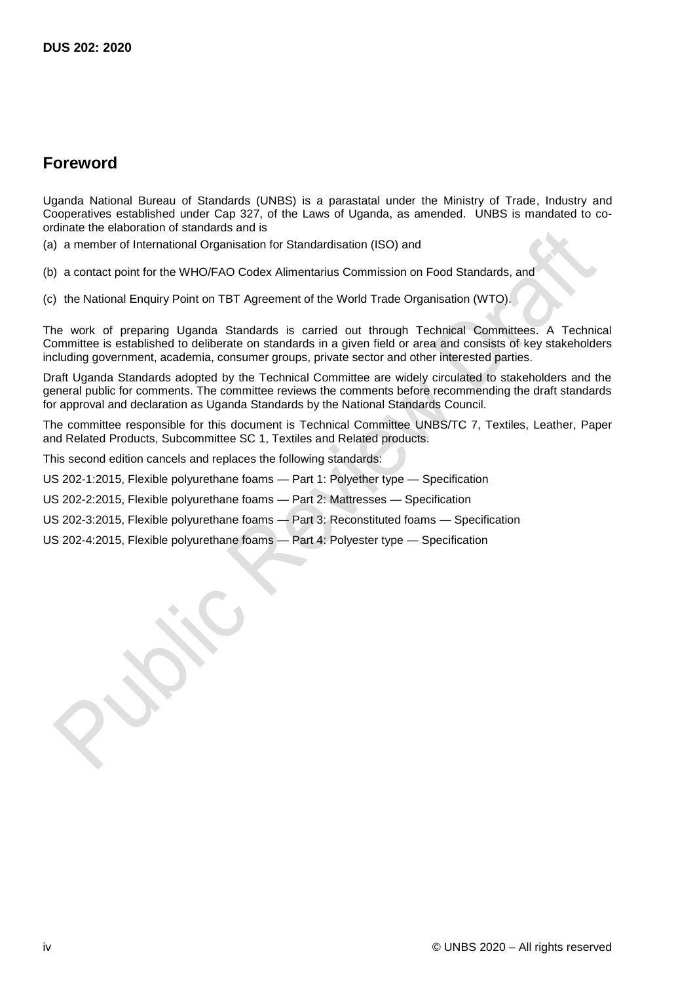## <span id="page-3-0"></span>**Foreword**

Uganda National Bureau of Standards (UNBS) is a parastatal under the Ministry of Trade, Industry and Cooperatives established under Cap 327, of the Laws of Uganda, as amended. UNBS is mandated to coordinate the elaboration of standards and is

(a) a member of International Organisation for Standardisation (ISO) and

(b) a contact point for the WHO/FAO Codex Alimentarius Commission on Food Standards, and

(c) the National Enquiry Point on TBT Agreement of the World Trade Organisation (WTO).

The work of preparing Uganda Standards is carried out through Technical Committees. A Technical Committee is established to deliberate on standards in a given field or area and consists of key stakeholders including government, academia, consumer groups, private sector and other interested parties.

Draft Uganda Standards adopted by the Technical Committee are widely circulated to stakeholders and the general public for comments. The committee reviews the comments before recommending the draft standards for approval and declaration as Uganda Standards by the National Standards Council.

The committee responsible for this document is Technical Committee UNBS/TC 7, Textiles, Leather, Paper and Related Products, Subcommittee SC 1, Textiles and Related products.

This second edition cancels and replaces the following standards:

US 202-1:2015, Flexible polyurethane foams — Part 1: Polyether type — Specification

US 202-2:2015, Flexible polyurethane foams — Part 2: Mattresses — Specification

US 202-3:2015, Flexible polyurethane foams — Part 3: Reconstituted foams — Specification

US 202-4:2015, Flexible polyurethane foams — Part 4: Polyester type — Specification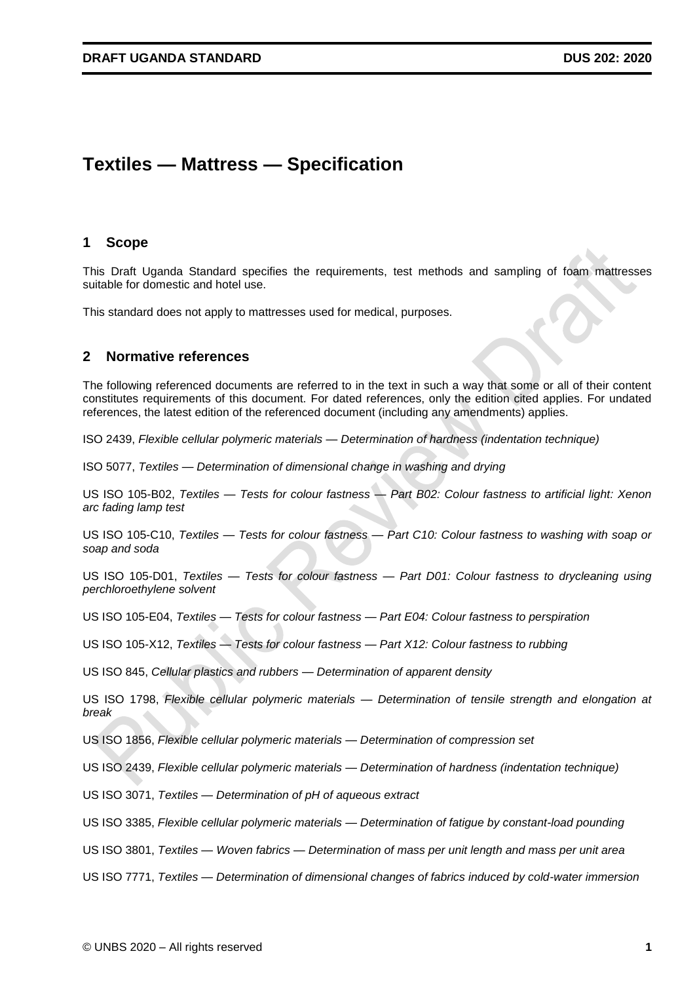## **Textiles — Mattress — Specification**

#### <span id="page-6-0"></span>**1 Scope**

This Draft Uganda Standard specifies the requirements, test methods and sampling of foam mattresses suitable for domestic and hotel use.

This standard does not apply to mattresses used for medical, purposes.

### <span id="page-6-1"></span>**2 Normative references**

The following referenced documents are referred to in the text in such a way that some or all of their content constitutes requirements of this document. For dated references, only the edition cited applies. For undated references, the latest edition of the referenced document (including any amendments) applies.

ISO 2439, *Flexible cellular polymeric materials — Determination of hardness (indentation technique)*

ISO 5077, *Textiles — Determination of dimensional change in washing and drying*

US ISO 105-B02, *Textiles — Tests for colour fastness — Part B02: Colour fastness to artificial light: Xenon arc fading lamp test*

US ISO 105-C10, *Textiles — Tests for colour fastness — Part C10: Colour fastness to washing with soap or soap and soda*

US ISO 105-D01, *Textiles — Tests for colour fastness — Part D01: Colour fastness to drycleaning using perchloroethylene solvent*

US ISO 105-E04, *Textiles — Tests for colour fastness — Part E04: Colour fastness to perspiration*

US ISO 105-X12, *Textiles — Tests for colour fastness — Part X12: Colour fastness to rubbing*

US ISO 845, *Cellular plastics and rubbers — Determination of apparent density*

US ISO 1798, *Flexible cellular polymeric materials — Determination of tensile strength and elongation at break*

US ISO 1856, *Flexible cellular polymeric materials — Determination of compression set*

US ISO 2439, *Flexible cellular polymeric materials — Determination of hardness (indentation technique)*

US ISO 3071, *Textiles — Determination of pH of aqueous extract*

US ISO 3385, *Flexible cellular polymeric materials — Determination of fatigue by constant-load pounding*

US ISO 3801, *Textiles — Woven fabrics — Determination of mass per unit length and mass per unit area*

US ISO 7771, *Textiles — Determination of dimensional changes of fabrics induced by cold-water immersion*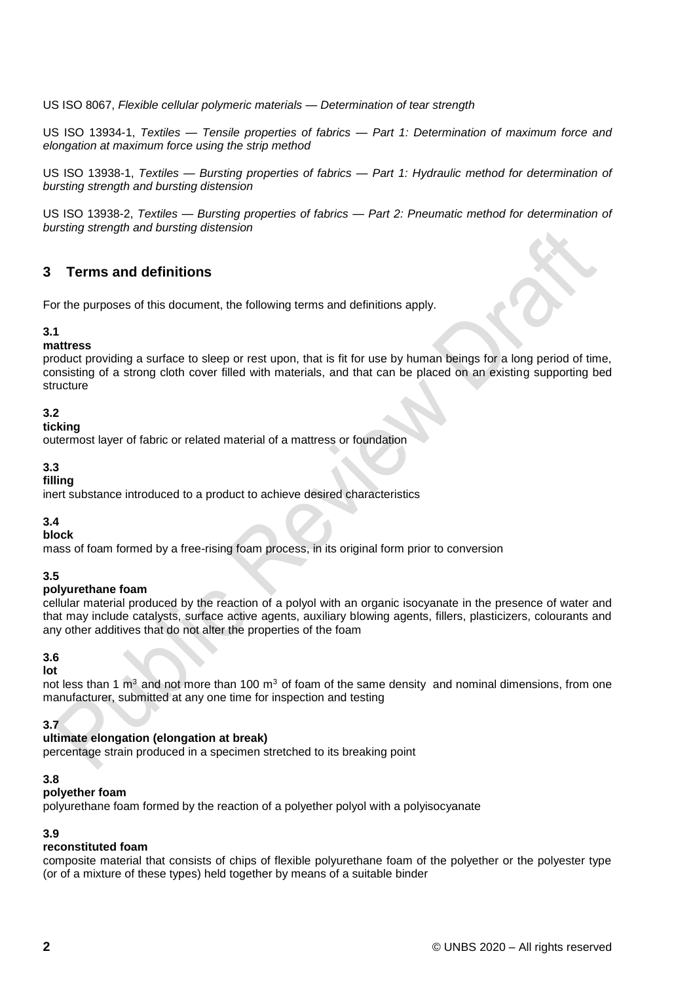US ISO 8067, *Flexible cellular polymeric materials — Determination of tear strength*

US ISO 13934-1, *Textiles — Tensile properties of fabrics — Part 1: Determination of maximum force and elongation at maximum force using the strip method*

US ISO 13938-1, *Textiles — Bursting properties of fabrics — Part 1: Hydraulic method for determination of bursting strength and bursting distension*

US ISO 13938-2, *Textiles — Bursting properties of fabrics — Part 2: Pneumatic method for determination of bursting strength and bursting distension*

## <span id="page-7-0"></span>**3 Terms and definitions**

For the purposes of this document, the following terms and definitions apply.

### **3.1**

#### **mattress**

product providing a surface to sleep or rest upon, that is fit for use by human beings for a long period of time, consisting of a strong cloth cover filled with materials, and that can be placed on an existing supporting bed structure

## **3.2**

## **ticking**

outermost layer of fabric or related material of a mattress or foundation

#### **3.3**

#### **filling**

inert substance introduced to a product to achieve desired characteristics

### **3.4**

#### **block**

mass of foam formed by a free-rising foam process, in its original form prior to conversion

### **3.5**

#### **polyurethane foam**

cellular material produced by the reaction of a polyol with an organic isocyanate in the presence of water and that may include catalysts, surface active agents, auxiliary blowing agents, fillers, plasticizers, colourants and any other additives that do not alter the properties of the foam

## **3.6**

#### **lot**

not less than 1  $\text{m}^3$  and not more than 100  $\text{m}^3$  of foam of the same density and nominal dimensions, from one manufacturer, submitted at any one time for inspection and testing

### **3.7**

#### **ultimate elongation (elongation at break)**

percentage strain produced in a specimen stretched to its breaking point

### **3.8**

#### **polyether foam**

polyurethane foam formed by the reaction of a polyether polyol with a polyisocyanate

## **3.9**

## **reconstituted foam**

composite material that consists of chips of flexible polyurethane foam of the polyether or the polyester type (or of a mixture of these types) held together by means of a suitable binder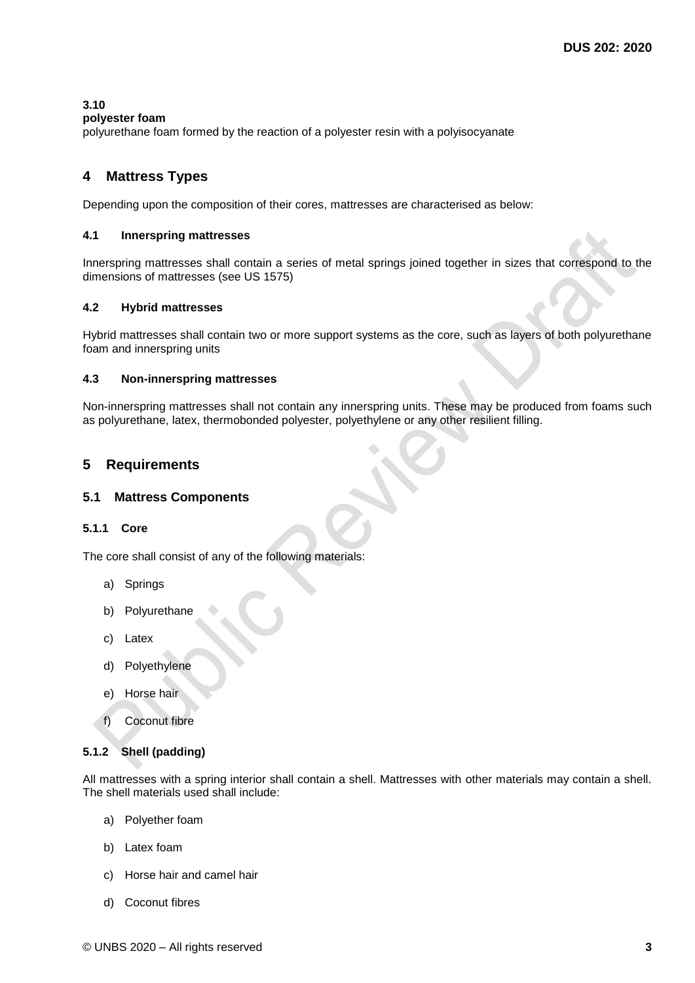### **3.10**

**polyester foam** 

polyurethane foam formed by the reaction of a polyester resin with a polyisocyanate

## <span id="page-8-0"></span>**4 Mattress Types**

Depending upon the composition of their cores, mattresses are characterised as below:

### <span id="page-8-1"></span>**4.1 Innerspring mattresses**

Innerspring mattresses shall contain a series of metal springs joined together in sizes that correspond to the dimensions of mattresses (see US 1575)

#### <span id="page-8-2"></span>**4.2 Hybrid mattresses**

Hybrid mattresses shall contain two or more support systems as the core, such as layers of both polyurethane foam and innerspring units

#### <span id="page-8-3"></span>**4.3 Non-innerspring mattresses**

Non-innerspring mattresses shall not contain any innerspring units. These may be produced from foams such as polyurethane, latex, thermobonded polyester, polyethylene or any other resilient filling.

## <span id="page-8-4"></span>**5 Requirements**

### <span id="page-8-5"></span>**5.1 Mattress Components**

### <span id="page-8-6"></span>**5.1.1 Core**

The core shall consist of any of the following materials:

- a) Springs
- b) Polyurethane
- c) Latex
- d) Polyethylene
- e) Horse hair
- f) Coconut fibre

### <span id="page-8-7"></span>**5.1.2 Shell (padding)**

All mattresses with a spring interior shall contain a shell. Mattresses with other materials may contain a shell. The shell materials used shall include:

- a) Polyether foam
- b) Latex foam
- c) Horse hair and camel hair
- d) Coconut fibres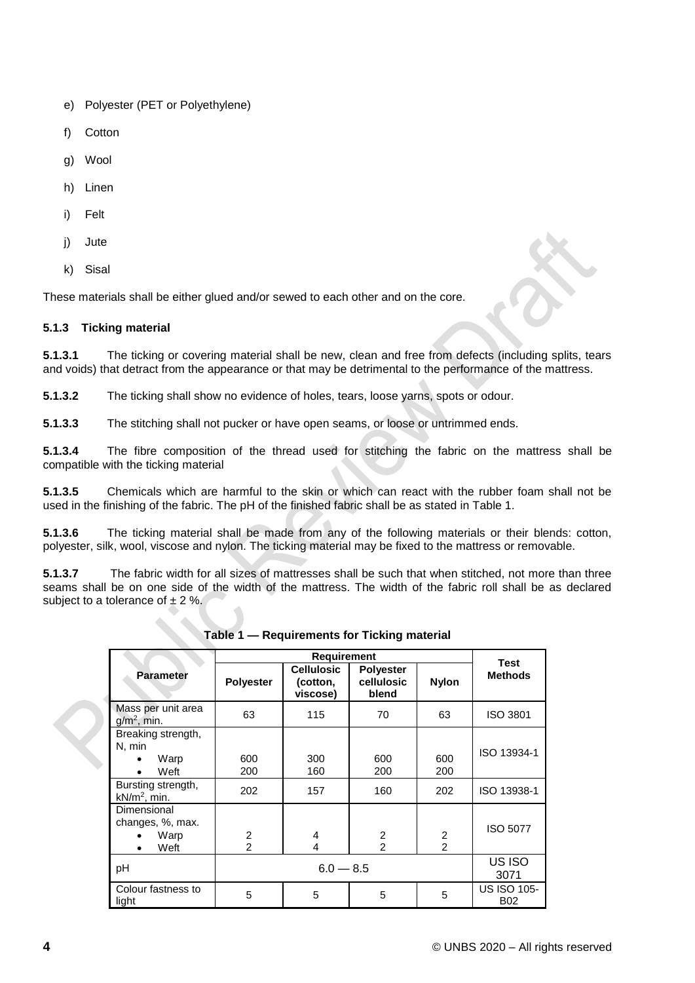- e) Polyester (PET or Polyethylene)
- f) Cotton
- g) Wool
- h) Linen
- i) Felt
- i) Jute
- k) Sisal

These materials shall be either glued and/or sewed to each other and on the core.

### <span id="page-9-0"></span>**5.1.3 Ticking material**

**5.1.3.1** The ticking or covering material shall be new, clean and free from defects (including splits, tears and voids) that detract from the appearance or that may be detrimental to the performance of the mattress.

**5.1.3.2** The ticking shall show no evidence of holes, tears, loose yarns, spots or odour.

**5.1.3.3** The stitching shall not pucker or have open seams, or loose or untrimmed ends.

**5.1.3.4** The fibre composition of the thread used for stitching the fabric on the mattress shall be compatible with the ticking material

**5.1.3.5** Chemicals which are harmful to the skin or which can react with the rubber foam shall not be used in the finishing of the fabric. The pH of the finished fabric shall be as stated in Table 1.

**5.1.3.6** The ticking material shall be made from any of the following materials or their blends: cotton, polyester, silk, wool, viscose and nylon. The ticking material may be fixed to the mattress or removable.

**5.1.3.7** The fabric width for all sizes of mattresses shall be such that when stitched, not more than three seams shall be on one side of the width of the mattress. The width of the fabric roll shall be as declared subject to a tolerance of  $\pm 2$  %.

|                                                 |                                  | <b>Test</b>                               |                                         |                                  |                                  |
|-------------------------------------------------|----------------------------------|-------------------------------------------|-----------------------------------------|----------------------------------|----------------------------------|
| <b>Parameter</b>                                | <b>Polyester</b>                 | <b>Cellulosic</b><br>(cotton,<br>viscose) | <b>Polyester</b><br>cellulosic<br>blend | <b>Nylon</b>                     | <b>Methods</b>                   |
| Mass per unit area<br>$g/m^2$ , min.            | 63                               | 115                                       | 70                                      | 63                               | <b>ISO 3801</b>                  |
| Breaking strength,<br>N, min<br>Warp<br>Weft    | 600<br>200                       | 300<br>160                                | 600<br>200                              | 600<br>200                       | ISO 13934-1                      |
| Bursting strength,<br>$kN/m2$ , min.            | 202                              | 157                                       | 160                                     | 202                              | ISO 13938-1                      |
| Dimensional<br>changes, %, max.<br>Warp<br>Weft | $\overline{2}$<br>$\overline{2}$ | 4<br>4                                    | $\overline{2}$<br>$\overline{2}$        | $\overline{2}$<br>$\overline{2}$ | <b>ISO 5077</b>                  |
| рH                                              | $6.0 - 8.5$                      |                                           |                                         | US ISO<br>3071                   |                                  |
| Colour fastness to<br>light                     | 5                                | 5                                         | 5                                       | 5                                | <b>US ISO 105-</b><br><b>B02</b> |

**Table 1 — Requirements for Ticking material**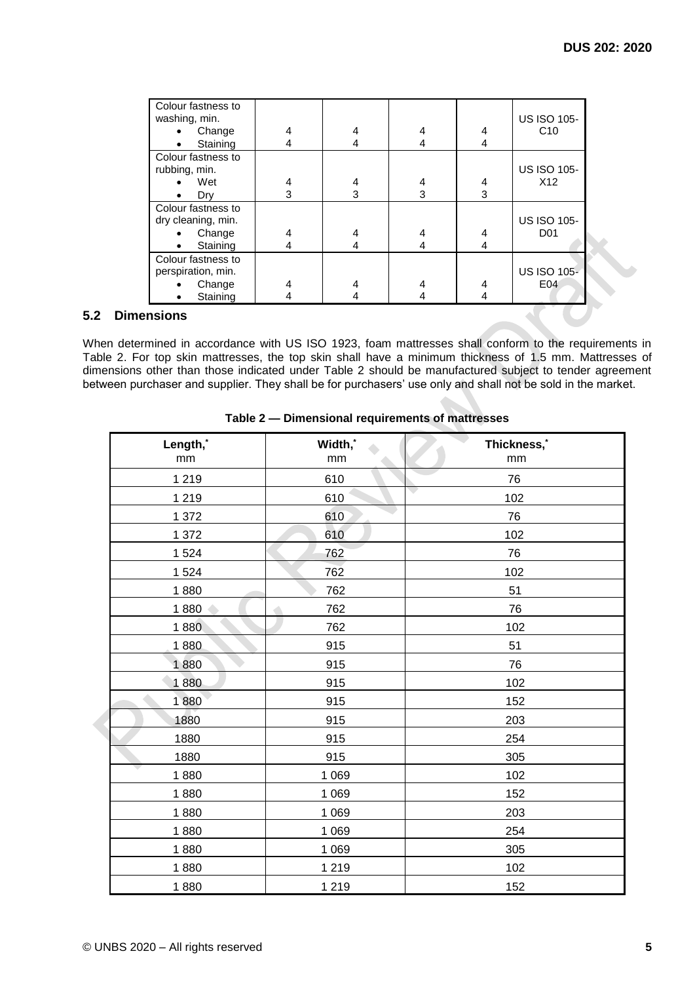| Colour fastness to<br>washing, min. |   |   |   |   | <b>US ISO 105-</b> |
|-------------------------------------|---|---|---|---|--------------------|
| Change                              |   | 4 | 4 | 4 | C10                |
| Staining<br>$\bullet$               |   | 4 | 4 | 4 |                    |
| Colour fastness to                  |   |   |   |   |                    |
| rubbing, min.                       |   |   |   |   | <b>US ISO 105-</b> |
| Wet                                 | 4 | 4 | 4 | 4 | X <sub>12</sub>    |
| Dry                                 | 3 | 3 | 3 | 3 |                    |
| Colour fastness to                  |   |   |   |   |                    |
| dry cleaning, min.                  |   |   |   |   | <b>US ISO 105-</b> |
| Change                              |   | 4 | 4 | 4 | D <sub>01</sub>    |
| Staining                            |   | 4 | 4 | 4 |                    |
| Colour fastness to                  |   |   |   |   |                    |
| perspiration, min.                  |   |   |   |   | <b>US ISO 105-</b> |
| Change                              |   |   |   |   | E04                |
| Staining                            |   |   |   |   |                    |

## <span id="page-10-0"></span>**5.2 Dimensions**

When determined in accordance with US ISO 1923, foam mattresses shall conform to the requirements in Table 2. For top skin mattresses, the top skin shall have a minimum thickness of 1.5 mm. Mattresses of dimensions other than those indicated under Table 2 should be manufactured subject to tender agreement between purchaser and supplier. They shall be for purchasers' use only and shall not be sold in the market.

| Length,* | Width,* | Thickness,* |
|----------|---------|-------------|
| mm       | mm      | mm          |
| 1 2 1 9  | 610     | 76          |
| 1 2 1 9  | 610     | v<br>102    |
| 1 372    | 610     | 76          |
| 1 372    | 610     | 102         |
| 1524     | 762     | 76          |
| 1524     | 762     | 102         |
| 1880     | 762     | 51          |
| 1880     | 762     | 76          |
| 1880     | 762     | 102         |
| 1880     | 915     | 51          |
| 1880     | 915     | 76          |
| 1880     | 915     | 102         |
| 1880     | 915     | 152         |
| 1880     | 915     | 203         |
| 1880     | 915     | 254         |
| 1880     | 915     | 305         |
| 1880     | 1 0 6 9 | 102         |
| 1880     | 1 0 6 9 | 152         |
| 1880     | 1 0 6 9 | 203         |
| 1880     | 1 0 6 9 | 254         |
| 1880     | 1 0 6 9 | 305         |
| 1880     | 1 2 1 9 | 102         |
| 1880     | 1 2 1 9 | 152         |

## **Table 2 — Dimensional requirements of mattresses**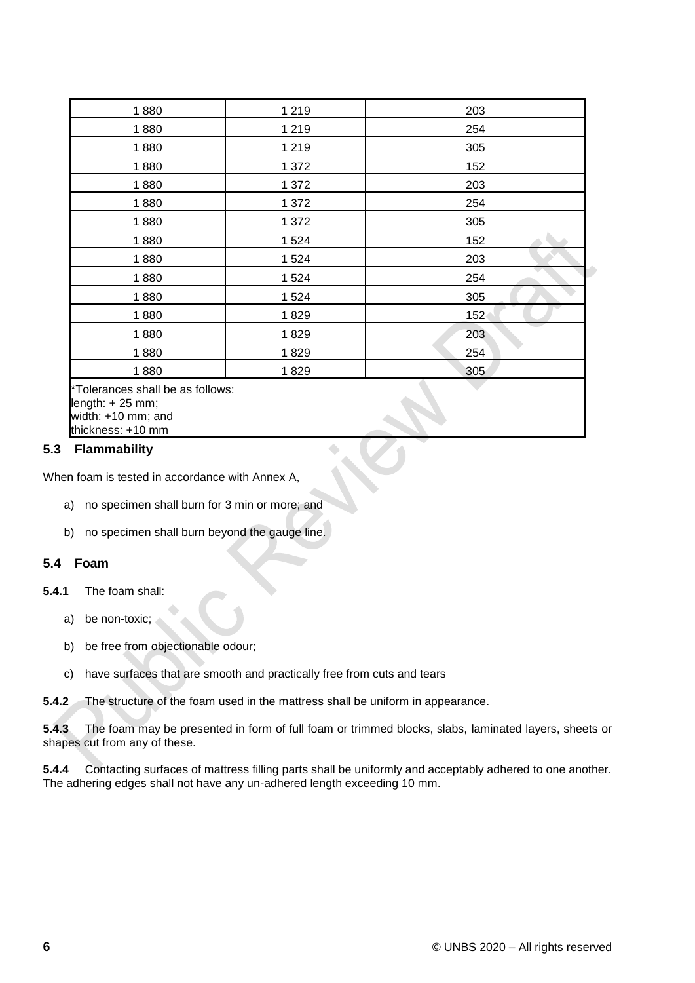| 1880                                                                                             | 1 2 1 9 | 203 |
|--------------------------------------------------------------------------------------------------|---------|-----|
| 1880                                                                                             | 1 2 1 9 | 254 |
| 1880                                                                                             | 1 2 1 9 | 305 |
| 1880                                                                                             | 1 372   | 152 |
| 1880                                                                                             | 1 372   | 203 |
| 1880                                                                                             | 1 372   | 254 |
| 1880                                                                                             | 1 372   | 305 |
| 1880                                                                                             | 1524    | 152 |
| 1880                                                                                             | 1 5 2 4 | 203 |
| 1880                                                                                             | 1524    | 254 |
| 1880                                                                                             | 1 5 2 4 | 305 |
| 1880                                                                                             | 1829    | 152 |
| 1880                                                                                             | 1829    | 203 |
| 1880                                                                                             | 1829    | 254 |
| 1880                                                                                             | 1829    | 305 |
| *Tolerances shall be as follows:<br>length: $+25$ mm;<br>width: +10 mm; and<br>thickness: +10 mm |         |     |

### <span id="page-11-0"></span>**5.3 Flammability**

When foam is tested in accordance with Annex A,

- a) no specimen shall burn for 3 min or more; and
- b) no specimen shall burn beyond the gauge line.

## <span id="page-11-1"></span>**5.4 Foam**

- **5.4.1** The foam shall:
	- a) be non-toxic;
	- b) be free from objectionable odour;
	- c) have surfaces that are smooth and practically free from cuts and tears
- **5.4.2** The structure of the foam used in the mattress shall be uniform in appearance.

**5.4.3** The foam may be presented in form of full foam or trimmed blocks, slabs, laminated layers, sheets or shapes cut from any of these.

**5.4.4** Contacting surfaces of mattress filling parts shall be uniformly and acceptably adhered to one another. The adhering edges shall not have any un-adhered length exceeding 10 mm.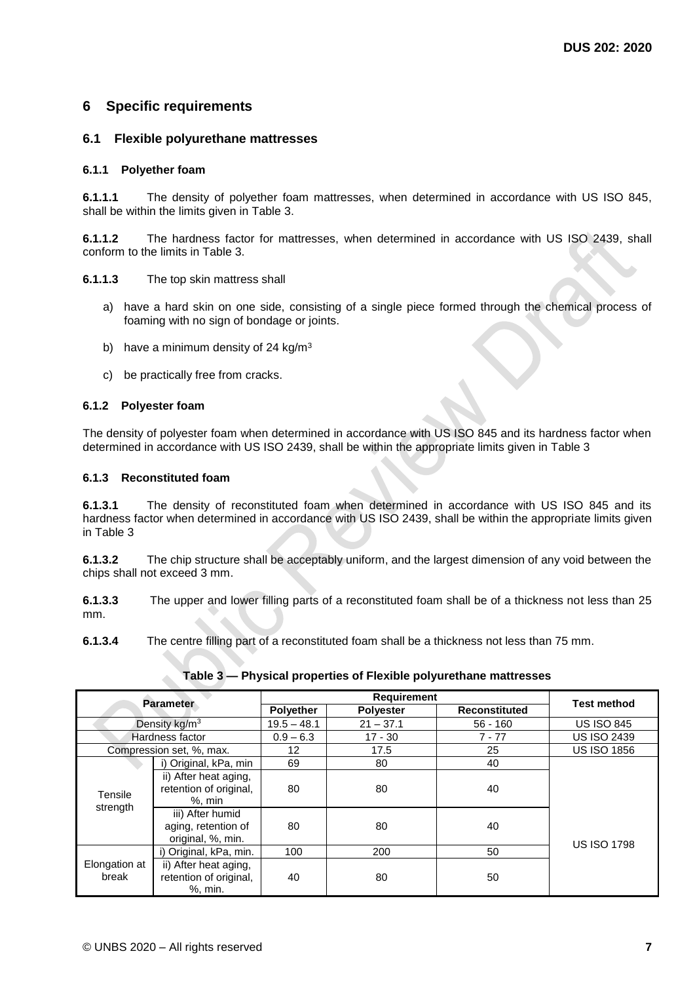## <span id="page-12-0"></span>**6 Specific requirements**

### <span id="page-12-1"></span>**6.1 Flexible polyurethane mattresses**

#### <span id="page-12-2"></span>**6.1.1 Polyether foam**

**6.1.1.1** The density of polyether foam mattresses, when determined in accordance with US ISO 845, shall be within the limits given in Table 3.

**6.1.1.2** The hardness factor for mattresses, when determined in accordance with US ISO 2439, shall conform to the limits in Table 3.

#### **6.1.1.3** The top skin mattress shall

- a) have a hard skin on one side, consisting of a single piece formed through the chemical process of foaming with no sign of bondage or joints.
- b) have a minimum density of 24 kg/m<sup>3</sup>
- c) be practically free from cracks.

#### <span id="page-12-3"></span>**6.1.2 Polyester foam**

The density of polyester foam when determined in accordance with US ISO 845 and its hardness factor when determined in accordance with US ISO 2439, shall be within the appropriate limits given in Table 3

#### <span id="page-12-4"></span>**6.1.3 Reconstituted foam**

**6.1.3.1** The density of reconstituted foam when determined in accordance with US ISO 845 and its hardness factor when determined in accordance with US ISO 2439, shall be within the appropriate limits given in Table 3

**6.1.3.2** The chip structure shall be acceptably uniform, and the largest dimension of any void between the chips shall not exceed 3 mm.

**6.1.3.3** The upper and lower filling parts of a reconstituted foam shall be of a thickness not less than 25 mm.

**6.1.3.4** The centre filling part of a reconstituted foam shall be a thickness not less than 75 mm.

| <b>Parameter</b>       |                                                               | <b>Requirement</b> |                  |                      |                    |
|------------------------|---------------------------------------------------------------|--------------------|------------------|----------------------|--------------------|
|                        |                                                               | Polyether          | <b>Polyester</b> | <b>Reconstituted</b> | <b>Test method</b> |
|                        | Density $kg/m3$                                               | $19.5 - 48.1$      | $21 - 37.1$      | $56 - 160$           | <b>US ISO 845</b>  |
|                        | Hardness factor                                               | $0.9 - 6.3$        | $17 - 30$        | $7 - 77$             | <b>US ISO 2439</b> |
|                        | Compression set, %, max.                                      | 12                 | 17.5             | 25                   | <b>US ISO 1856</b> |
|                        | i) Original, kPa, min                                         | 69                 | 80               | 40                   |                    |
| Tensile                | ii) After heat aging,<br>retention of original,<br>$%$ , min  | 80                 | 80               | 40                   |                    |
| strength               | iii) After humid<br>aging, retention of<br>original, %, min.  | 80                 | 80               | 40                   | <b>US ISO 1798</b> |
|                        | i) Original, kPa, min.                                        | 100                | 200              | 50                   |                    |
| Elongation at<br>break | ii) After heat aging,<br>retention of original,<br>$%$ , min. | 40                 | 80               | 50                   |                    |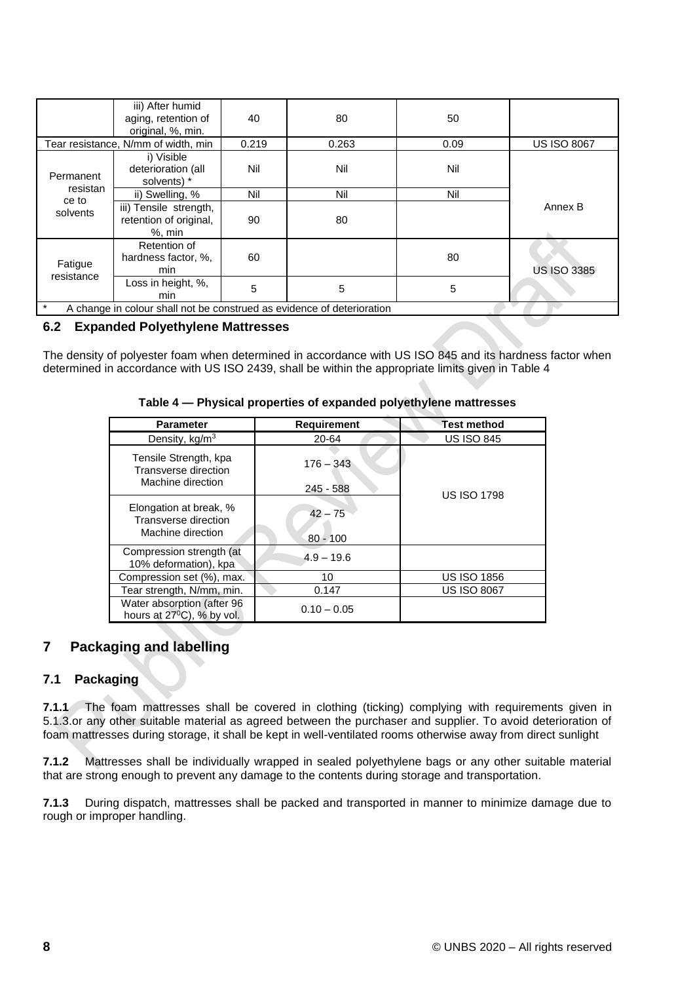|                                                                                    | iii) After humid<br>aging, retention of<br>original, %, min.  | 40    | 80    | 50   |                    |
|------------------------------------------------------------------------------------|---------------------------------------------------------------|-------|-------|------|--------------------|
| Tear resistance, N/mm of width, min                                                |                                                               | 0.219 | 0.263 | 0.09 | <b>US ISO 8067</b> |
| Permanent                                                                          | i) Visible<br>deterioration (all<br>solvents) *               | Nil   | Nil   | Nil  |                    |
| resistan                                                                           | ii) Swelling, %                                               | Nil   | Nil   | Nil  |                    |
| ce to<br>solvents                                                                  | iii) Tensile strength,<br>retention of original,<br>$%$ , min | 90    | 80    |      | Annex B            |
| Fatigue<br>resistance                                                              | Retention of<br>hardness factor, %,<br>min                    | 60    |       | 80   | <b>US ISO 3385</b> |
|                                                                                    | Loss in height, %,<br>min                                     | 5     | 5     | 5    |                    |
| $^\star$<br>A change in colour shall not be construed as evidence of deterioration |                                                               |       |       |      |                    |

### <span id="page-13-0"></span>**6.2 Expanded Polyethylene Mattresses**

The density of polyester foam when determined in accordance with US ISO 845 and its hardness factor when determined in accordance with US ISO 2439, shall be within the appropriate limits given in Table 4

| <b>Parameter</b>                                                     | <b>Requirement</b>      | <b>Test method</b> |
|----------------------------------------------------------------------|-------------------------|--------------------|
| Density, kg/m <sup>3</sup>                                           | 20-64                   | <b>US ISO 845</b>  |
| Tensile Strength, kpa<br>Transverse direction                        | $176 - 343$             |                    |
| Machine direction                                                    | 245 - 588               | <b>US ISO 1798</b> |
| Elongation at break, %<br>Transverse direction<br>Machine direction  | $42 - 75$<br>$80 - 100$ |                    |
| Compression strength (at<br>10% deformation), kpa                    | $4.9 - 19.6$            |                    |
| Compression set (%), max.                                            | 10                      | <b>US ISO 1856</b> |
| Tear strength, N/mm, min.                                            | 0.147                   | <b>US ISO 8067</b> |
| Water absorption (after 96<br>hours at 27 <sup>°</sup> C), % by vol. | $0.10 - 0.05$           |                    |

#### **Table 4 — Physical properties of expanded polyethylene mattresses**

## <span id="page-13-1"></span>**7 Packaging and labelling**

### <span id="page-13-2"></span>**7.1 Packaging**

**7.1.1** The foam mattresses shall be covered in clothing (ticking) complying with requirements given in 5.1.3.or any other suitable material as agreed between the purchaser and supplier. To avoid deterioration of foam mattresses during storage, it shall be kept in well-ventilated rooms otherwise away from direct sunlight

**7.1.2** Mattresses shall be individually wrapped in sealed polyethylene bags or any other suitable material that are strong enough to prevent any damage to the contents during storage and transportation.

**7.1.3** During dispatch, mattresses shall be packed and transported in manner to minimize damage due to rough or improper handling.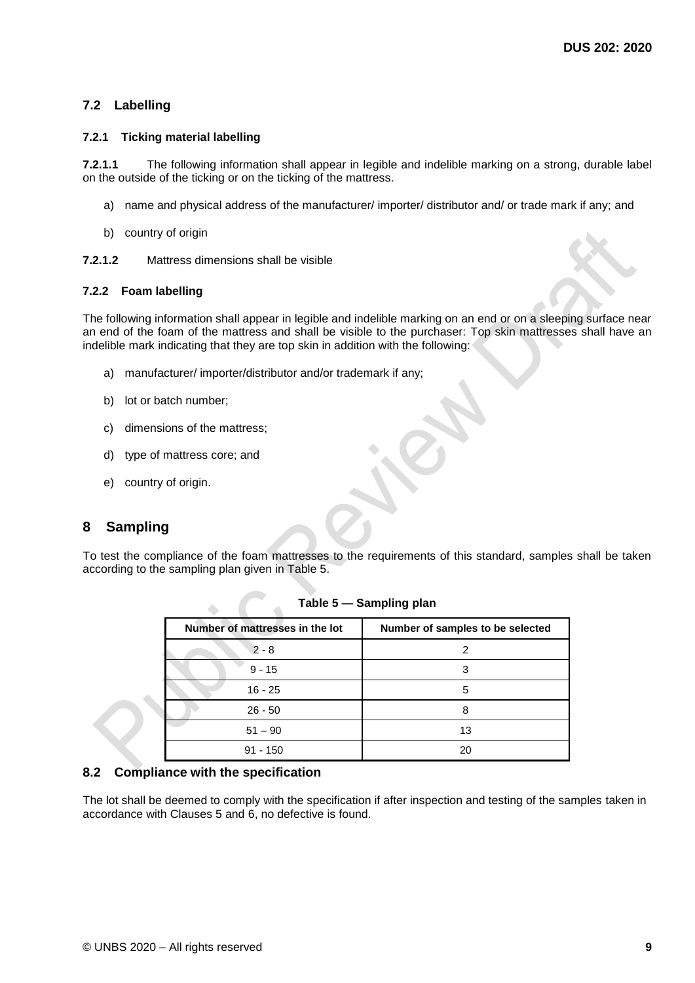## <span id="page-14-0"></span>**7.2 Labelling**

#### <span id="page-14-1"></span>**7.2.1 Ticking material labelling**

**7.2.1.1** The following information shall appear in legible and indelible marking on a strong, durable label on the outside of the ticking or on the ticking of the mattress.

- a) name and physical address of the manufacturer/ importer/ distributor and/ or trade mark if any; and
- b) country of origin

**7.2.1.2** Mattress dimensions shall be visible

#### <span id="page-14-2"></span>**7.2.2 Foam labelling**

The following information shall appear in legible and indelible marking on an end or on a sleeping surface near an end of the foam of the mattress and shall be visible to the purchaser: Top skin mattresses shall have an indelible mark indicating that they are top skin in addition with the following:

- a) manufacturer/ importer/distributor and/or trademark if any;
- b) lot or batch number;
- c) dimensions of the mattress;
- d) type of mattress core; and
- e) country of origin.

## <span id="page-14-3"></span>**8 Sampling**

To test the compliance of the foam mattresses to the requirements of this standard, samples shall be taken according to the sampling plan given in Table 5.

| Number of mattresses in the lot | Number of samples to be selected |
|---------------------------------|----------------------------------|
| $2 - 8$                         | 2                                |
| $9 - 15$                        | 3                                |
| $16 - 25$                       | 5                                |
| $26 - 50$                       |                                  |
| $51 - 90$                       | 13                               |
| $91 - 150$                      | 20                               |

|  |  | Table 5 - Sampling plan |  |
|--|--|-------------------------|--|
|--|--|-------------------------|--|

## <span id="page-14-4"></span>**8.2 Compliance with the specification**

The lot shall be deemed to comply with the specification if after inspection and testing of the samples taken in accordance with Clauses 5 and 6, no defective is found.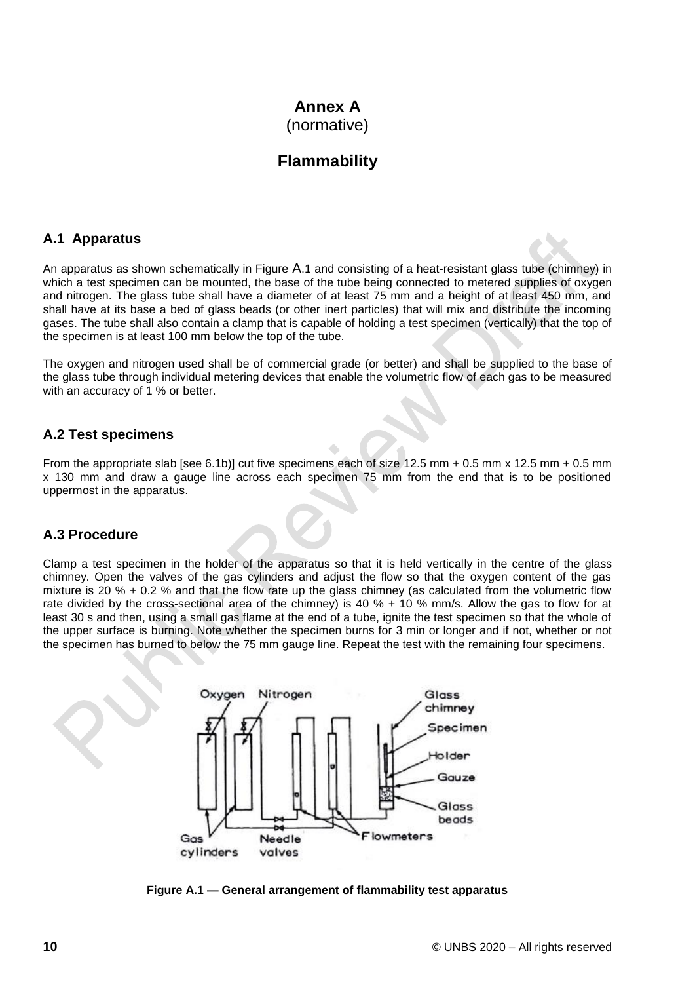## **Annex A** (normative)

## **Flammability**

## <span id="page-15-1"></span><span id="page-15-0"></span>**A.1 Apparatus**

An apparatus as shown schematically in Figure A.1 and consisting of a heat-resistant glass tube (chimney) in which a test specimen can be mounted, the base of the tube being connected to metered supplies of oxygen and nitrogen. The glass tube shall have a diameter of at least 75 mm and a height of at least 450 mm, and shall have at its base a bed of glass beads (or other inert particles) that will mix and distribute the incoming gases. The tube shall also contain a clamp that is capable of holding a test specimen (vertically) that the top of the specimen is at least 100 mm below the top of the tube.

The oxygen and nitrogen used shall be of commercial grade (or better) and shall be supplied to the base of the glass tube through individual metering devices that enable the volumetric flow of each gas to be measured with an accuracy of 1 % or better.

## <span id="page-15-2"></span>**A.2 Test specimens**

From the appropriate slab [see 6.1b)] cut five specimens each of size 12.5 mm + 0.5 mm x 12.5 mm + 0.5 mm x 130 mm and draw a gauge line across each specimen 75 mm from the end that is to be positioned uppermost in the apparatus.

## <span id="page-15-3"></span>**A.3 Procedure**

Clamp a test specimen in the holder of the apparatus so that it is held vertically in the centre of the glass chimney. Open the valves of the gas cylinders and adjust the flow so that the oxygen content of the gas mixture is 20 % + 0.2 % and that the flow rate up the glass chimney (as calculated from the volumetric flow rate divided by the cross-sectional area of the chimney) is 40 % + 10 % mm/s. Allow the gas to flow for at least 30 s and then, using a small gas flame at the end of a tube, ignite the test specimen so that the whole of the upper surface is burning. Note whether the specimen burns for 3 min or longer and if not, whether or not the specimen has burned to below the 75 mm gauge line. Repeat the test with the remaining four specimens.



**Figure A.1 — General arrangement of flammability test apparatus**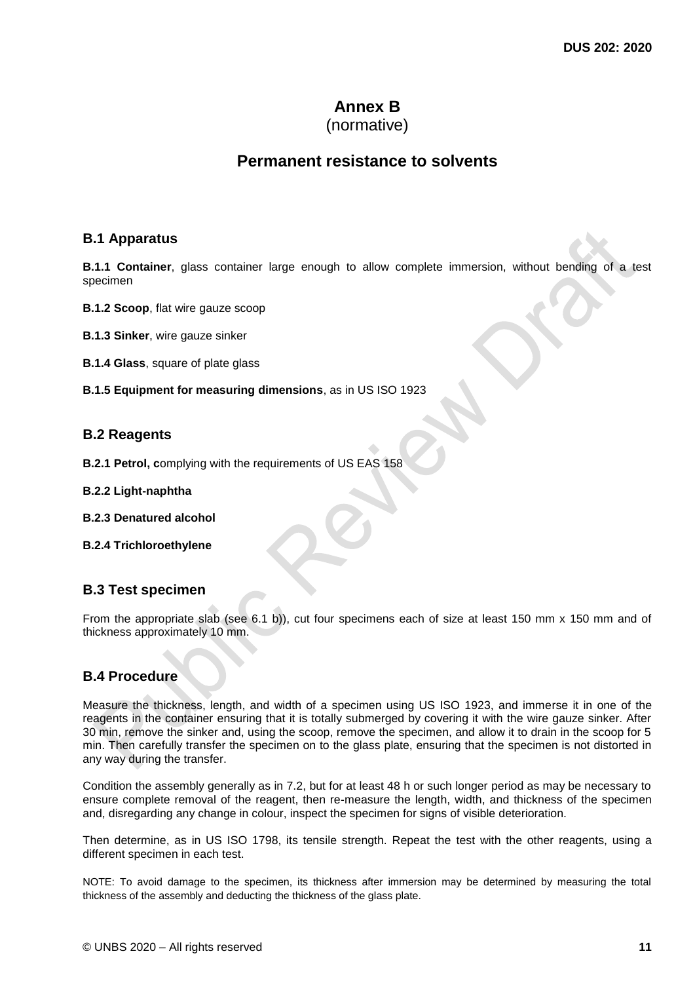## **Annex B**

## (normative)

## **Permanent resistance to solvents**

## <span id="page-16-1"></span><span id="page-16-0"></span>**B.1 Apparatus**

**B.1.1 Container**, glass container large enough to allow complete immersion, without bending of a test specimen

- **B.1.2 Scoop**, flat wire gauze scoop
- **B.1.3 Sinker**, wire gauze sinker

**B.1.4 Glass**, square of plate glass

**B.1.5 Equipment for measuring dimensions**, as in US ISO 1923

## <span id="page-16-2"></span>**B.2 Reagents**

- **B.2.1 Petrol, c**omplying with the requirements of US EAS 158
- **B.2.2 Light-naphtha**
- **B.2.3 Denatured alcohol**
- **B.2.4 Trichloroethylene**

## <span id="page-16-3"></span>**B.3 Test specimen**

From the appropriate slab (see 6.1 b)), cut four specimens each of size at least 150 mm x 150 mm and of thickness approximately 10 mm.

## <span id="page-16-4"></span>**B.4 Procedure**

Measure the thickness, length, and width of a specimen using US ISO 1923, and immerse it in one of the reagents in the container ensuring that it is totally submerged by covering it with the wire gauze sinker. After 30 min, remove the sinker and, using the scoop, remove the specimen, and allow it to drain in the scoop for 5 min. Then carefully transfer the specimen on to the glass plate, ensuring that the specimen is not distorted in any way during the transfer.

Condition the assembly generally as in 7.2, but for at least 48 h or such longer period as may be necessary to ensure complete removal of the reagent, then re-measure the length, width, and thickness of the specimen and, disregarding any change in colour, inspect the specimen for signs of visible deterioration.

Then determine, as in US ISO 1798, its tensile strength. Repeat the test with the other reagents, using a different specimen in each test.

NOTE: To avoid damage to the specimen, its thickness after immersion may be determined by measuring the total thickness of the assembly and deducting the thickness of the glass plate.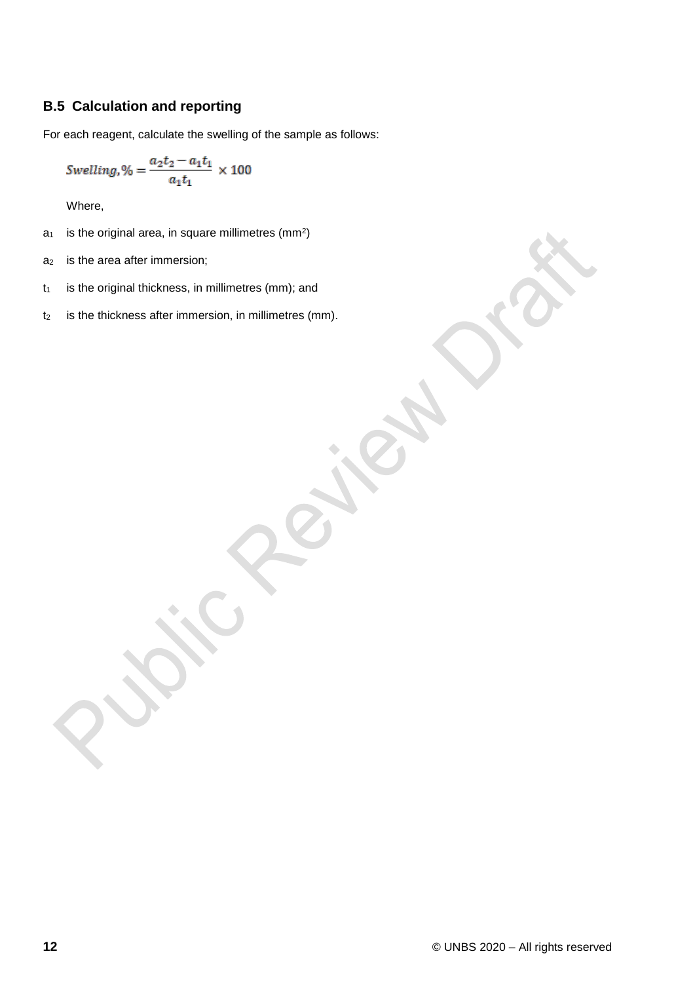## <span id="page-17-0"></span>**B.5 Calculation and reporting**

For each reagent, calculate the swelling of the sample as follows:

$$
Swelling, \% = \frac{a_2t_2 - a_1t_1}{a_1t_1} \times 100
$$

Where,

- $a_1$  is the original area, in square millimetres (mm<sup>2</sup>)
- a<sub>2</sub> is the area after immersion;
- $t<sub>1</sub>$  is the original thickness, in millimetres (mm); and
- t<sub>2</sub> is the thickness after immersion, in millimetres (mm).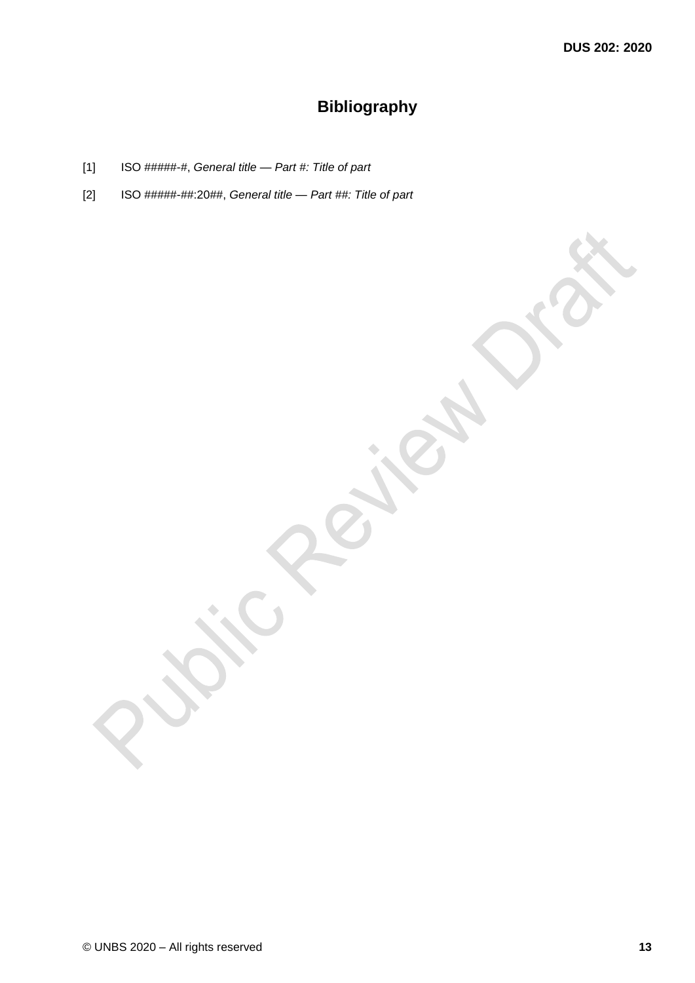## **Bibliography**

- <span id="page-18-0"></span>[1] ISO #####-#, *General title — Part #: Title of part*
- [2] ISO #####-##:20##, *General title — Part ##: Title of part*

© UNBS 2020 – All rights reserved **13**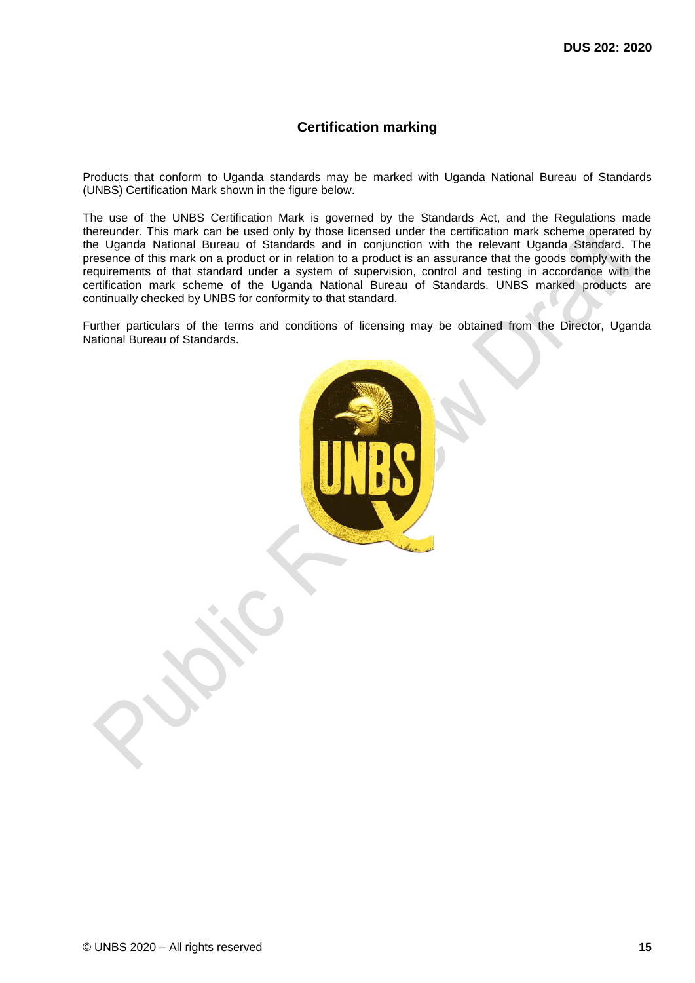## **Certification marking**

Products that conform to Uganda standards may be marked with Uganda National Bureau of Standards (UNBS) Certification Mark shown in the figure below.

The use of the UNBS Certification Mark is governed by the Standards Act, and the Regulations made thereunder. This mark can be used only by those licensed under the certification mark scheme operated by the Uganda National Bureau of Standards and in conjunction with the relevant Uganda Standard. The presence of this mark on a product or in relation to a product is an assurance that the goods comply with the requirements of that standard under a system of supervision, control and testing in accordance with the certification mark scheme of the Uganda National Bureau of Standards. UNBS marked products are continually checked by UNBS for conformity to that standard.

Further particulars of the terms and conditions of licensing may be obtained from the Director, Uganda National Bureau of Standards.